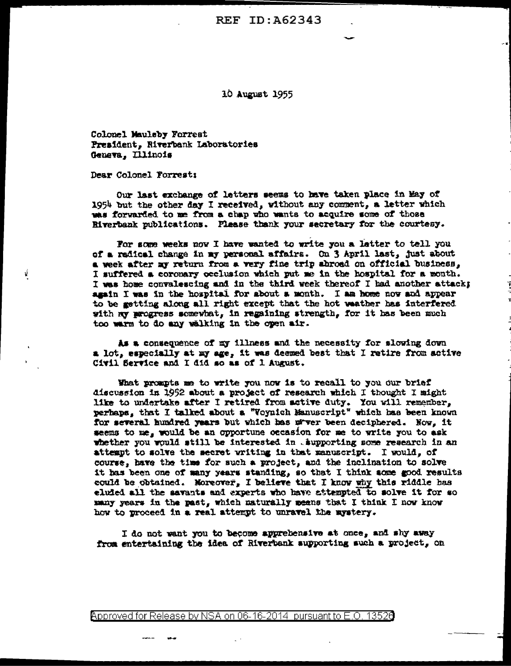**REF ID: A62343** 

10 August 1955

Colonel Mauleby Forrest President, Riverbank Laboratories Geneva, Illinois

Dear Colonel Forrest:

ý.

Our last exchange of letters seems to have taken place in May of 1954 but the other day I received, without any comment, a letter which was forwarded to me from a chap who wants to acquire some of those Riverbank publications. Please thank your secretary for the courtesy.

For some weeks now I have wanted to write you a latter to tell you of a radical change in my personal affairs. On 3 April last, just about a week after my return from a very fine trip abroad on official business, I suffered a coronary occlusion which put me in the hospital for a month. I was home convalescing and in the third week thereof I had another attacks again I was in the hospital for about a month. I am home now and appear to be getting along all right except that the hot weather has interfered with my progress somewhat, in regaining strength, for it has been much too warm to do any walking in the open air.

As a consequence of my illness and the necessity for slowing down a lot, especially at my age, it was deemed best that I retire from active Civil Service and I did so as of 1 August.

What prompts me to write you now is to recall to you our brief discussion in 1962 about a project of research which I thought I might like to undertake after I retired from active duty. You will remember, perhaps, that I talked about a "Voynich Manuscript" which has been known for several hundred years but which has nover been deciphered. Now, it seems to me, would be an opportune occasion for me to write you to ask whether you would still be interested in . supporting some research in an attempt to solve the secret writing in that manuscript. I would, of course, have the time for such a project, and the inclination to solve it has been one of many years standing, so that I think some good results could be obtained. Moreover, I believe that I know why this riddle has eluied all the savants and experts who have attempted to solve it for so many years in the past, which naturally means that I think I now know how to proceed in a real attempt to unravel the mystery.

I do not want you to become apprehensive at once, and shy away from entertaining the idea of Riverbank supporting such a project, on

<code>Approved</code> for Release by NSA on 06-16-2014  $\,$  pursuant to E.O. 13526  $\,$